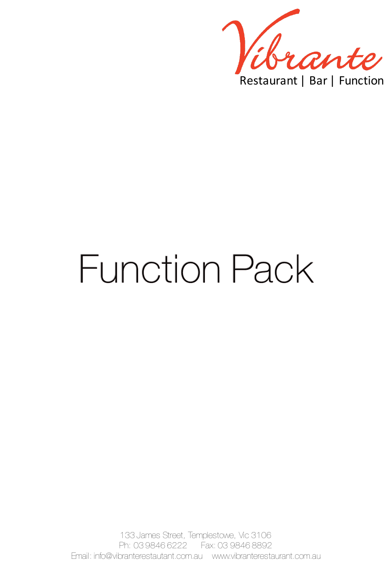

# **Function Pack**

133 James Street, Templestowe, Vic 3106 Ph: 03 9846 6222 Fax: 03 9846 8892 Email: info@vibranterestautant.com.au www.vibranterestaurant.com.au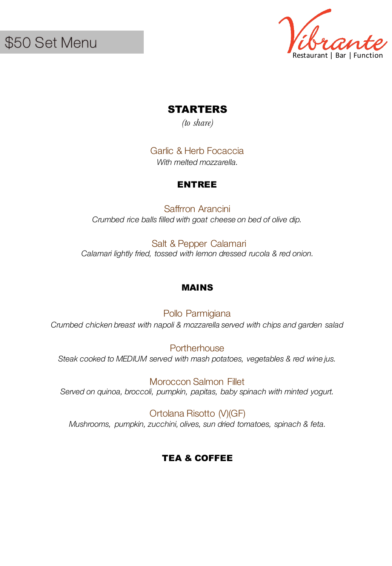

# STARTERS

*(to share)*

Garlic & Herb Focaccia *With melted mozzarella.*

# ENTREE

Saffrron Arancini *Crumbed rice balls filled with goat cheese on bed of olive dip.*

Salt & Pepper Calamari *Calamari lightly fried, tossed with lemon dressed rucola & red onion.* 

#### MAINS

Pollo Parmigiana *Crumbed chicken breast with napoli & mozzarella served with chips and garden salad*

**Portherhouse** *Steak cooked to MEDIUM served with mash potatoes, vegetables & red wine jus.*

Moroccon Salmon Fillet *Served on quinoa, broccoli, pumpkin, papitas, baby spinach with minted yogurt.*

Ortolana Risotto (V)(GF) *Mushrooms, pumpkin, zucchini, olives, sun dried tomatoes, spinach & feta.*

# TEA & COFFEE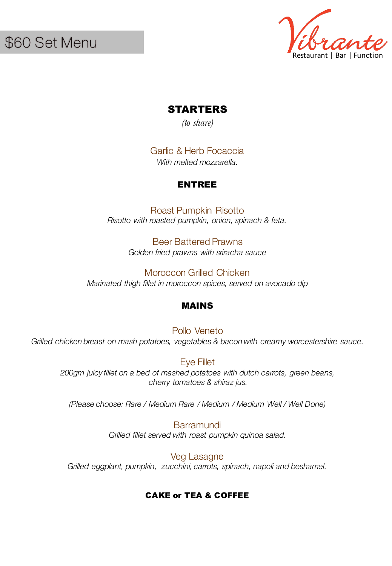

# STARTERS

*(to share)*

Garlic & Herb Focaccia *With melted mozzarella.*

# ENTREE

Roast Pumpkin Risotto *Risotto with roasted pumpkin, onion, spinach & feta.* 

> Beer Battered Prawns *Golden fried prawns with sriracha sauce*

Moroccon Grilled Chicken *Marinated thigh fillet in moroccon spices, served on avocado dip*

#### MAINS

Pollo Veneto Grilled chicken breast on mash potatoes, vegetables & bacon with creamy worcestershire sauce.

Eye Fillet *200gm juicy fillet on a bed of mashed potatoes with dutch carrots, green beans, cherry tomatoes & shiraz jus.*

*(Please choose: Rare / Medium Rare / Medium / Medium Well / Well Done)*

**Barramundi** *Grilled fillet served with roast pumpkin quinoa salad.*

Veg Lasagne *Grilled eggplant, pumpkin, zucchini, carrots, spinach, napoli and beshamel.*

# CAKE or TEA & COFFEE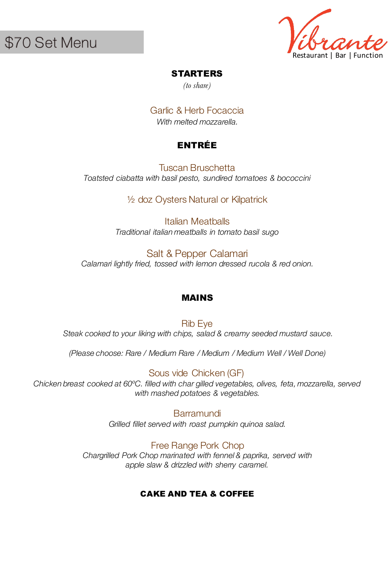\$70 Set Menu

Restaurant | Bar | Function

#### STARTERS

*(to share)*

Garlic & Herb Focaccia *With melted mozzarella.*

# ENTRÉE

Tuscan Bruschetta *Toatsted ciabatta with basil pesto, sundired tomatoes & bococcini*

½ doz Oysters Natural or Kilpatrick

Italian Meatballs *Traditional italian meatballs in tomato basil sugo*

Salt & Pepper Calamari *Calamari lightly fried, tossed with lemon dressed rucola & red onion.* 

# MAINS

Rib Eye *Steak cooked to your liking with chips, salad & creamy seeded mustard sauce.*

*(Please choose: Rare / Medium Rare / Medium / Medium Well / Well Done)*

Sous vide Chicken (GF) *Chicken breast cooked at 60ºC. filled with char gilled vegetables, olives, feta, mozzarella, served with mashed potatoes & vegetables.*

> **Barramundi** *Grilled fillet served with roast pumpkin quinoa salad.*

Free Range Pork Chop *Chargrilled Pork Chop marinated with fennel & paprika, served with apple slaw & drizzled with sherry caramel.*

#### CAKE AND TEA & COFFEE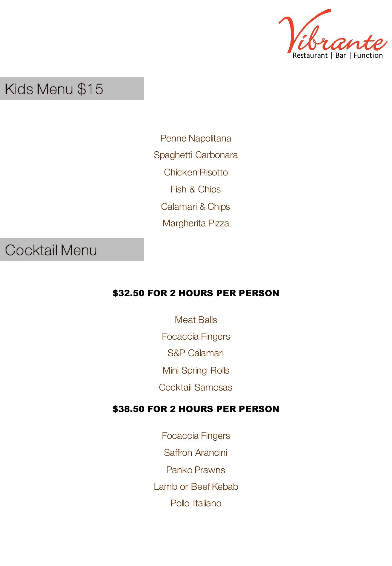

# Kids Menu \$15

Penne Napolitana Spaghetti Carbonara Chicken Risotto Fish & Chips Calamari & Chips Margherita Pizza

# **Cocktail Menu**

# \$32.50 FOR 2 HOURS PER PERSON

Meat Balls Focaccia Fingers S&P Calamari Mini Spring Rolls Cocktail Samosas

# \$38.50 FOR 2 HOURS PER PERSON

Focaccia Fingers Saffron Arancini Panko Prawns Lamb or Beef Kebab Pollo Italiano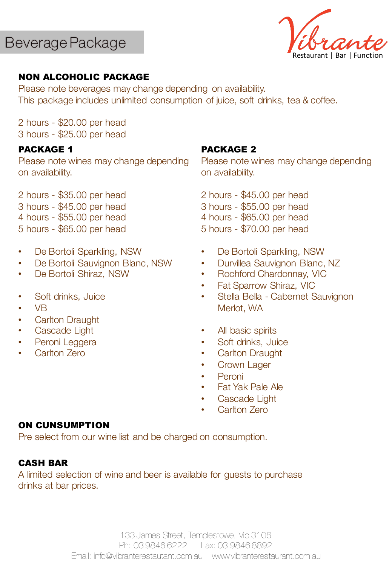Restaurant | Bar | Function

# NON ALCOHOLIC PACKAGE

Please note beverages may change depending on availability. This package includes unlimited consumption of juice, soft drinks, tea & coffee.

2 hours - \$20.00 per head 3 hours - \$25.00 per head

#### PACKAGE 1

Please note wines may change depending on availability.

2 hours - \$35.00 per head 3 hours - \$45.00 per head 4 hours - \$55.00 per head 5 hours - \$65.00 per head

- De Bortoli Sparkling, NSW
- De Bortoli Sauvignon Blanc, NSW
- De Bortoli Shiraz, NSW
- Soft drinks, Juice
- VB
- Carlton Draught
- Cascade Light
- Peroni Leggera
- Carlton Zero

#### PACKAGE 2

Please note wines may change depending on availability.

- 2 hours \$45.00 per head
- 3 hours \$55.00 per head
- 4 hours \$65.00 per head
- 5 hours \$70.00 per head
- De Bortoli Sparkling, NSW
- Durvillea Sauvignon Blanc, NZ
- Rochford Chardonnay, VIC
- Fat Sparrow Shiraz, VIC
- Stella Bella Cabernet Sauvignon Merlot, WA
- All basic spirits
- Soft drinks, Juice
- **Carlton Draught**
- Crown Lager
- **Peroni**
- Fat Yak Pale Ale
- Cascade Light
- Carlton Zero

#### ON CUNSUMPTION

Pre select from our wine list and be charged on consumption.

#### CASH BAR

A limited selection of wine and beer is available for guests to purchase drinks at bar prices.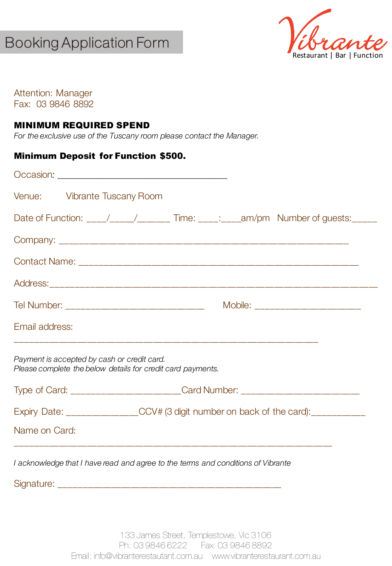# **Booking Application Form**



Attention: Manager Fax: 03 9846 8892

#### MINIMUM REQUIRED SPEND

*For the exclusive use of the Tuscany room please contact the Manager.*

#### Minimum Deposit for Function \$500.

| Venue: Vibrante Tuscany Room                                                                               |  |  |  |  |  |
|------------------------------------------------------------------------------------------------------------|--|--|--|--|--|
| Date of Function: ___/____/_____/_______ Time: ____: ____am/pm Number of guests: _____                     |  |  |  |  |  |
|                                                                                                            |  |  |  |  |  |
|                                                                                                            |  |  |  |  |  |
|                                                                                                            |  |  |  |  |  |
| Tel Number: __________________________________<br>Mobile: _________________________                        |  |  |  |  |  |
| Email address:                                                                                             |  |  |  |  |  |
| Payment is accepted by cash or credit card.<br>Please complete the below details for credit card payments. |  |  |  |  |  |
| Type of Card: _______________________Card Number: ______________________________                           |  |  |  |  |  |
| Expiry Date: _____________CCV# (3 digit number on back of the card): ___________                           |  |  |  |  |  |
| Name on Card:                                                                                              |  |  |  |  |  |
| I acknowledge that I have read and agree to the terms and conditions of Vibrante                           |  |  |  |  |  |

Signature: \_\_\_\_\_\_\_\_\_\_\_\_\_\_\_\_\_\_\_\_\_\_\_\_\_\_\_\_\_\_\_\_\_\_\_\_\_\_\_\_\_\_\_\_\_\_\_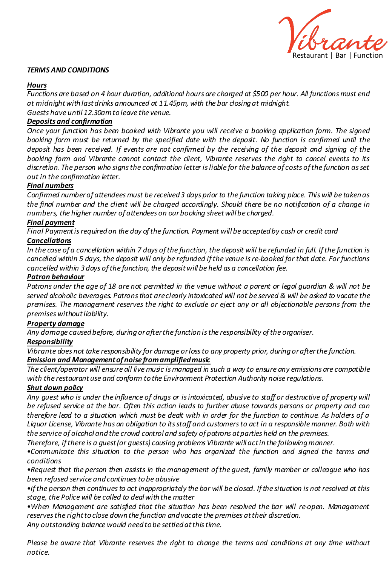

#### *TERMS AND CONDITIONS*

#### *Hours*

Functions are based on 4 hour duration, additional hours are charged at \$500 per hour. All functions must end *at midnightwithlastdrinks announced at 11.45pm, with the bar closingat midnight. Guests have until 12.30amtoleave the venue.*

*Deposits and confirmation*

*Once your function has been booked with Vibrante you will receive a booking application form. The signed* booking form must be returned by the specified date with the deposit. No function is confirmed until the deposit has been received. If events are not confirmed by the receiving of the deposit and signing of the *booking form and Vibrante cannot contact the client, Vibrante reserves the right to cancel events to its discretion. The person who signsthe confirmation letter isliable for the balance of costs ofthe function asset out in the confirmation letter.*

#### *Final numbers*

*Confirmed numberof attendeesmust be received3 days prior to the function taking place. This will be takenas* the final number and the client will be charged accordingly. Should there be no notification of a change in *numbers, the higher number of attendees on ourbooking sheetwill be charged.*

#### *Final payment*

*Final Paymentisrequiredon the day ofthe function. Payment will be acceptedby cash or credit card*

#### *Cancellations*

In the case of a cancellation within 7 days of the function, the deposit will be refunded in full. If the function is cancelled within 5 days, the deposit will only be refunded if the venue is re-booked for that date. For functions *cancelled within 3 days ofthe function, the depositwill be held as a cancellation fee.*

#### *Patron behaviour*

Patrons under the age of 18 are not permitted in the venue without a parent or legal guardian & will not be served alcoholic beverages. Patrons that areclearly intoxicated will not be served & will be asked to vacate the *premises. The management reserves the right to exclude or eject any or all objectionable persons from the premises withoutliability.*

#### *Property damage*

*Any damage causedbefore, duringorafterthe functionisthe responsibility ofthe organiser.*

#### *Responsibility*

*Vibrante does not take responsibility for damage orlossto any property prior, duringorafterthe function. Emission and Managementof noise fromamplifiedmusic*

The client/operator will ensure all live music is managed in such a way to ensure any emissions are compatible *with the restaurantuse and conform tothe Environment Protection Authority noise regulations.*

#### *Shut down policy*

Any quest who is under the influence of drugs or is intoxicated, abusive to staff or destructive of property will be refused service at the bar. Often this action leads to further abuse towards persons or property and can therefore lead to a situation which must be dealt with in order for the function to continue. As holders of a Liquor License, Vibrante has an obligation to its staff and customers to act in a responsible manner. Both with *the service of alcohol andthe crowd control and safety of patrons atparties held on the premises.*

*Therefore, ifthere is a guest(or guests) causing problems Vibrante will actinthe followingmanner.*

•*Communicate this situation to the person who has organized the function and signed the terms and conditions*

•*Request that the person then assists in themanagement ofthe guest, family member or colleague who has been refused service andcontinuestobe abusive*

 $\bullet$  If the person then continues to act inappropriately the bar will be closed. If the situation is not resolved at this *stage, the Police will be called to dealwiththe matter*

•*When Management are satisfied that the situation has been resolved the bar will re-open. Management reservesthe righttoclose downthe function andvacate the premises attheir discretion.*

*Any outstanding balance would needtobe settledatthistime.*

Please be aware that Vibrante reserves the right to change the terms and conditions at any time without *notice.*